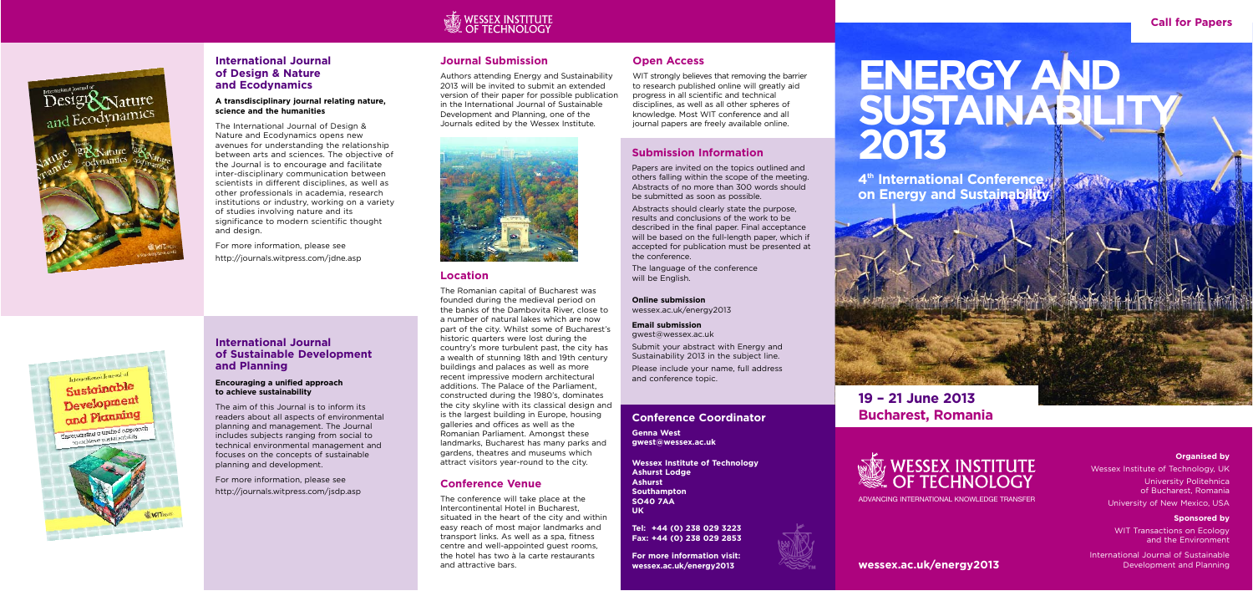### **Conference Coordinator**

**Genna West gwest@wessex.ac.uk**

**Wessex Institute of Technology Ashurst Lodge Ashurst Southampton SO40 7AA UK**

**Tel: +44 (0) 238 029 3223 Fax: +44 (0) 238 029 2853**

**For more information visit: wessex.ac.uk/energy2013**







Sustainable Development and Planning Encouraging a unified approach icouraging a unified upp.<br>to achieve sustainabilit

and lournal of International Journal of

### **Journal Submission**

Authors attending Energy and Sustainability 2013 will be invited to submit an extended version of their paper for possible publication in the International Journal of Sustainable Development and Planning, one of the Journals edited by the Wessex Institute.



WIT strongly believes that removing the barrier to research published online will greatly aid progress in all scientific and technical disciplines, as well as all other spheres of knowledge. Most WIT conference and all journal papers are freely available online.

## **Open Access**

### **Location**

The Romanian capital of Bucharest was founded during the medieval period on the banks of the Dambovita River, close to a number of natural lakes which are now part of the city. Whilst some of Bucharest's historic quarters were lost during the country's more turbulent past, the city has a wealth of stunning 18th and 19th century buildings and palaces as well as more recent impressive modern architectural additions. The Palace of the Parliament, constructed during the 1980's, dominates the city skyline with its classical design and is the largest building in Europe, housing galleries and offices as well as the Romanian Parliament. Amongst these landmarks, Bucharest has many parks and gardens, theatres and museums which attract visitors year-round to the city.

### **Conference Venue**

The conference will take place at the Intercontinental Hotel in Bucharest, situated in the heart of the city and within easy reach of most major landmarks and transport links. As well as a spa, fitness centre and well-appointed guest rooms, the hotel has two à la carte restaurants and attractive bars.

### **Submission Information**

Papers are invited on the topics outlined and others falling within the scope of the meeting. Abstracts of no more than 300 words should be submitted as soon as possible.

Abstracts should clearly state the purpose, results and conclusions of the work to be described in the final paper. Final acceptance will be based on the full-length paper, which if accepted for publication must be presented at the conference.

The language of the conference will be English.

**Online submission** wessex.ac.uk/energy2013

**Email submission** gwest@wessex.ac.uk

Submit your abstract with Energy and Sustainability 2013 in the subject line.

Please include your name, full address and conference topic.

**Call for Papers**

# **ENERGY AND SUSTAINABILITY 2013**

**4th International Conference on Energy and Sustainability**

**wessex.ac.uk/energy2013**

### **Organised by**

Wessex Institute of Technology, UK University Politehnica of Bucharest, Romania

University of New Mexico, USA

### **Sponsored by**

WIT Transactions on Ecology and the Environment

International Journal of Sustainable Development and Planning

## **19 – 21 June 2013 Bucharest, Romania**

# **WESSEX INSTITUTE<br>OF TECHNOLOGY**

ADVANCING INTERNATIONAL KNOWLEDGE TRANSFER

# WESSEX INSTITUTE<br>OF TECHNOLOGY



### **International Journal of Design & Nature and Ecodynamics**

### **A transdisciplinary journal relating nature, science and the humanities**

The International Journal of Design & Nature and Ecodynamics opens new avenues for understanding the relationship between arts and sciences. The objective of the Journal is to encourage and facilitate inter-disciplinary communication between scientists in different disciplines, as well as other professionals in academia, research institutions or industry, working on a variety of studies involving nature and its significance to modern scientific thought and design.

For more information, please see http://journals.witpress.com/jdne.asp

### **International Journal of Sustainable Development and Planning**

### **Encouraging a unified approach to achieve sustainability**

The aim of this Journal is to inform its readers about all aspects of environmental planning and management. The Journal includes subjects ranging from social to technical environmental management and focuses on the concepts of sustainable planning and development.

For more information, please see http://journals.witpress.com/jsdp.asp